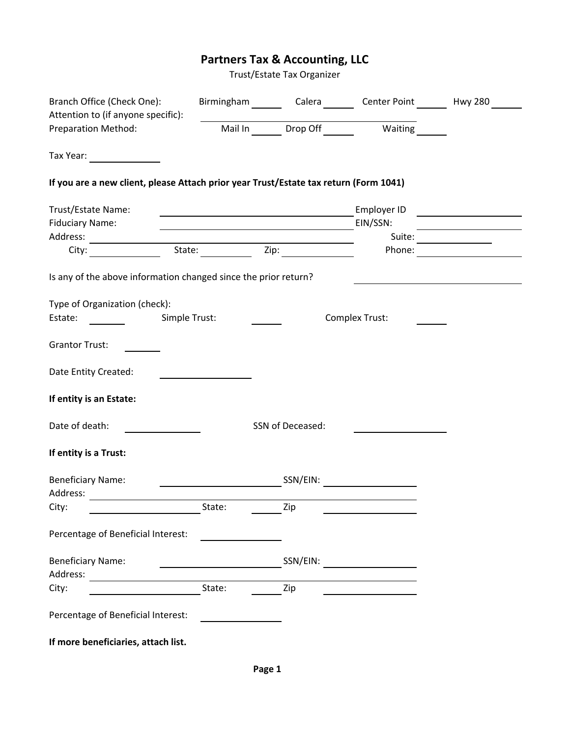# **Partners Tax & Accounting, LLC**

Trust/Estate Tax Organizer

| Branch Office (Check One):<br>Attention to (if anyone specific):                                                                 |                                                           |                  | Birmingham Calera Center Point Hwy 280 |                                                   |
|----------------------------------------------------------------------------------------------------------------------------------|-----------------------------------------------------------|------------------|----------------------------------------|---------------------------------------------------|
| Preparation Method:                                                                                                              |                                                           |                  | Mail In Drop Off Waiting               |                                                   |
| Tax Year:                                                                                                                        |                                                           |                  |                                        |                                                   |
| If you are a new client, please Attach prior year Trust/Estate tax return (Form 1041)                                            |                                                           |                  |                                        |                                                   |
| Trust/Estate Name:                                                                                                               |                                                           |                  | Employer ID                            |                                                   |
| <b>Fiduciary Name:</b>                                                                                                           |                                                           |                  | EIN/SSN:                               |                                                   |
| City:                                                                                                                            |                                                           |                  | Phone:                                 | Suite:<br><u> 1989 - Johann Barbara, martxa a</u> |
| Is any of the above information changed since the prior return?                                                                  |                                                           |                  |                                        |                                                   |
| Type of Organization (check):                                                                                                    |                                                           |                  |                                        |                                                   |
| <b>Simple Trust:</b><br>Estate:                                                                                                  |                                                           |                  | Complex Trust:                         |                                                   |
| <b>Grantor Trust:</b>                                                                                                            |                                                           |                  |                                        |                                                   |
| Date Entity Created:                                                                                                             |                                                           |                  |                                        |                                                   |
| If entity is an Estate:                                                                                                          |                                                           |                  |                                        |                                                   |
| Date of death:                                                                                                                   |                                                           | SSN of Deceased: |                                        |                                                   |
| If entity is a Trust:                                                                                                            |                                                           |                  |                                        |                                                   |
| <b>Beneficiary Name:</b><br>Address:                                                                                             |                                                           | SSN/EIN:         |                                        |                                                   |
| City:                                                                                                                            | State:                                                    | Zin              |                                        |                                                   |
| Percentage of Beneficial Interest:                                                                                               |                                                           |                  |                                        |                                                   |
| <b>Beneficiary Name:</b><br>Address:                                                                                             | <u> 1980 - Johann Barbara, martxa a shekara 1980 - An</u> | SSN/EIN:         |                                        |                                                   |
| <u> 1989 - Johann Stoff, deutscher Stoffen und der Stoffen und der Stoffen und der Stoffen und der Stoffen und der </u><br>City: | State:                                                    | Zip              |                                        |                                                   |
| Percentage of Beneficial Interest:                                                                                               |                                                           |                  |                                        |                                                   |
| If more beneficiaries, attach list.                                                                                              |                                                           |                  |                                        |                                                   |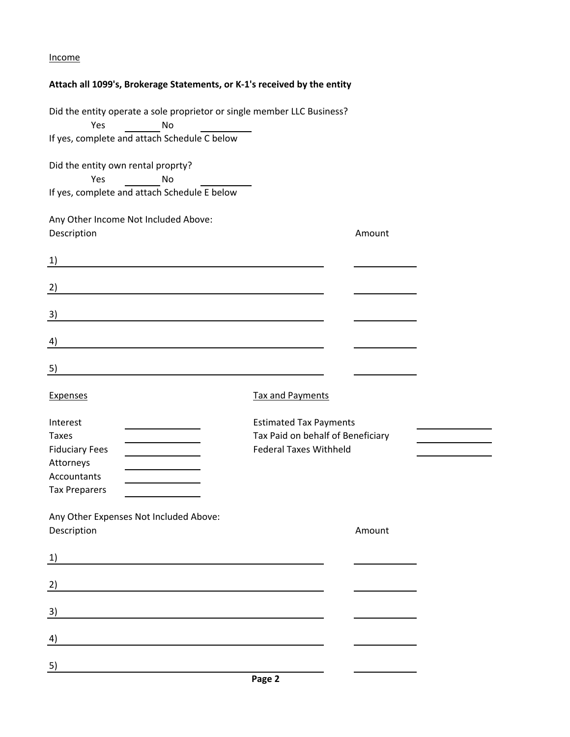### Income

## **Attach all 1099's, Brokerage Statements, or K-1's received by the entity**

| Did the entity operate a sole proprietor or single member LLC Business?<br>Yes<br>No                   |                                                                    |        |  |
|--------------------------------------------------------------------------------------------------------|--------------------------------------------------------------------|--------|--|
| If yes, complete and attach Schedule C below                                                           |                                                                    |        |  |
| Did the entity own rental proprty?<br>Yes<br><b>No</b><br>If yes, complete and attach Schedule E below |                                                                    |        |  |
| Any Other Income Not Included Above:                                                                   |                                                                    |        |  |
| Description                                                                                            |                                                                    | Amount |  |
| 1)                                                                                                     |                                                                    |        |  |
| 2)                                                                                                     |                                                                    |        |  |
| 3)                                                                                                     |                                                                    |        |  |
| 4)                                                                                                     |                                                                    |        |  |
| 5)                                                                                                     |                                                                    |        |  |
| <b>Expenses</b>                                                                                        | <b>Tax and Payments</b>                                            |        |  |
| Interest<br><b>Taxes</b>                                                                               | <b>Estimated Tax Payments</b><br>Tax Paid on behalf of Beneficiary |        |  |
| <b>Fiduciary Fees</b><br>Attorneys                                                                     | <b>Federal Taxes Withheld</b>                                      |        |  |
| Accountants                                                                                            |                                                                    |        |  |
| <b>Tax Preparers</b>                                                                                   |                                                                    |        |  |
| Any Other Expenses Not Included Above:<br>Description                                                  |                                                                    | Amount |  |
| 1)<br><u> 1980 - Johann Barn, mars an t-Amerikaansk politiker (</u>                                    |                                                                    |        |  |
| $\left( \frac{2}{2} \right)$                                                                           |                                                                    |        |  |
| <u>3)</u>                                                                                              |                                                                    |        |  |
| 4)                                                                                                     |                                                                    |        |  |
| <u>5)</u>                                                                                              |                                                                    |        |  |
|                                                                                                        |                                                                    |        |  |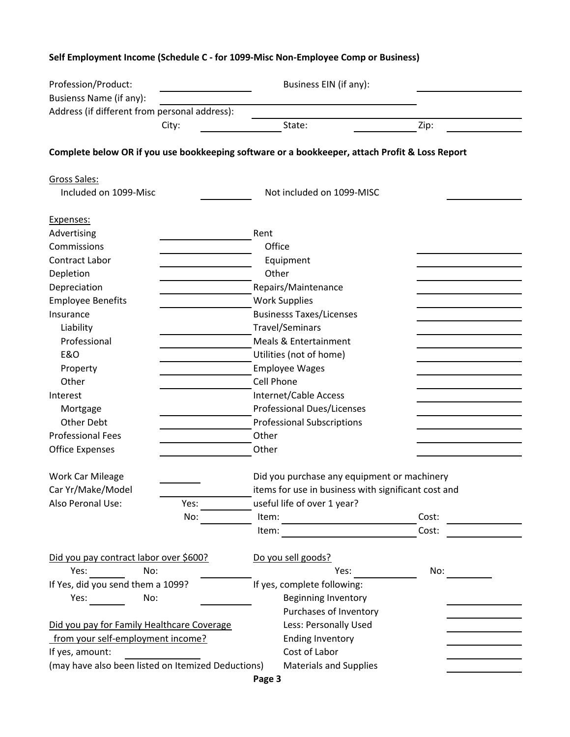# Profession/Product: Business EIN (if any): Busienss Name (if any): Address (if different from personal address): City: The State: State: State: 2ip: **Complete below OR if you use bookkeeping software or a bookkeeper, attach Profit & Loss Report** Gross Sales: Included on 1099-Misc Not included on 1099-MISC Expenses: Advertising **Rent Commissions Office** Contract Labor **Equipment** Depletion **Depletion** Other Depreciation **Depreciation** Repairs/Maintenance Employee Benefits **Employee Benefits** Work Supplies Insurance Businesss Taxes/Licenses Liability Travel/Seminars Professional **Meals & Entertainment**  E&O Utilities (not of home) Property **Employee Wages** Other Cell Phone Interest **Internet/Cable Access** Mortgage **Professional Dues/Licenses** Other Debt **Professional Subscriptions** Professional Fees **Dividends** Other Office Expenses **Other** Other Work Car Mileage **Did you purchase any equipment or machinery** Did you purchase any equipment or machinery Car Yr/Make/Model items for use in business with significant cost and Also Peronal Use: Yes: useful life of over 1 year? No: ltem: ltem: Cost: Item: Cost: Did you pay contract labor over \$600? Do you sell goods? Yes: No: Yes: No: If Yes, did you send them a 1099? If yes, complete following: Yes: No: No: Reginning Inventory Purchases of Inventory Did you pay for Family Healthcare Coverage Less: Personally Used from your self-employment income? Ending Inventory If yes, amount: Cost of Labor (may have also been listed on Itemized Deductions) Materials and Supplies

#### **Self Employment Income (Schedule C - for 1099-Misc Non-Employee Comp or Business)**